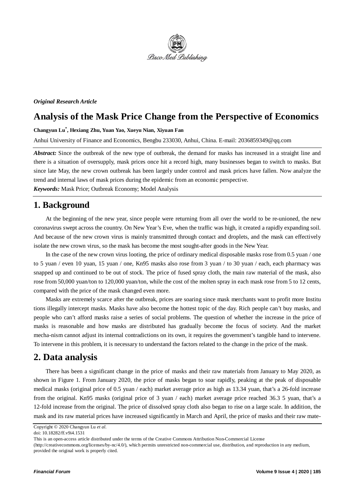

#### *Original Research Article*

# **Analysis of the Mask Price Change from the Perspective of Economics**

**Changyun Lu\* , Hexiang Zhu, Yuan Yao, Xueyu Nian, Xiyuan Fan** 

Anhui University of Finance and Economics, Bengbu 233030, Anhui, China. E-mail: [2036859349@qq.com](mailto:2036859349@qq.com)

*Abstract:* Since the outbreak of the new type of outbreak, the demand for masks has increased in a straight line and there is a situation of oversupply, mask prices once hit a record high, many businesses began to switch to masks. But since late May, the new crown outbreak has been largely under control and mask prices have fallen. Now analyze the trend and internal laws of mask prices during the epidemic from an economic perspective.

*Keywords:* Mask Price; Outbreak Economy; Model Analysis

## **1. Background**

At the beginning of the new year, since people were returning from all over the world to be re-unioned, the new coronavirus swept across the country. On New Year's Eve, when the traffic was high, it created a rapidly expanding soil. And because of the new crown virus is mainly transmitted through contact and droplets, and the mask can effectively isolate the new crown virus, so the mask has become the most sought-after goods in the New Year.

In the case of the new crown virus looting, the price of ordinary medical disposable masks rose from 0.5 yuan / one to 5 yuan / even 10 yuan, 15 yuan / one, Kn95 masks also rose from 3 yuan / to 30 yuan / each, each pharmacy was snapped up and continued to be out of stock. The price of fused spray cloth, the main raw material of the mask, also rose from 50,000 yuan/ton to 120,000 yuan/ton, while the cost of the molten spray in each mask rose from 5 to 12 cents, compared with the price of the mask changed even more.

Masks are extremely scarce after the outbreak, prices are soaring since mask merchants want to profit more Institu tions illegally intercept masks. Masks have also become the hottest topic of the day. Rich people can't buy masks, and people who can't afford masks raise a series of social problems. The question of whether the increase in the price of masks is reasonable and how masks are distributed has gradually become the focus of society. And the market mecha-nism cannot adjust its internal contradictions on its own, it requires the government's tangible hand to intervene. To intervene in this problem, it is necessary to understand the factors related to the change in the price of the mask.

## **2. Data analysis**

There has been a significant change in the price of masks and their raw materials from January to May 2020, as shown in Figure 1. From January 2020, the price of masks began to soar rapidly, peaking at the peak of disposable medical masks (original price of 0.5 yuan / each) market average price as high as 13.34 yuan, that's a 26-fold increase from the original. Kn95 masks (original price of 3 yuan / each) market average price reached 36.3 5 yuan, that's a 12-fold increase from the original. The price of dissolved spray cloth also began to rise on a large scale. In addition, the mask and its raw material prices have increased significantly in March and April, the price of masks and their raw mate-

Copyright © 2020 Changyun Lu *et al*.

doi: 10.18282/ff.v9i4.1531

This is an open-access article distributed under the terms of the Creative Commons Attribution Non-Commercial License

<sup>(</sup>http://creativecommons.org/licenses/by-nc/4.0/), which permits unrestricted non-commercial use, distribution, and reproduction in any medium, provided the original work is properly cited.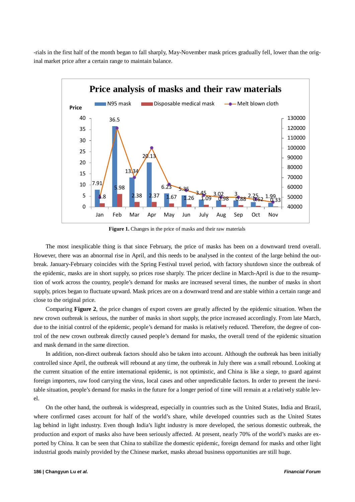-rials in the first half of the month began to fall sharply, May-November mask prices gradually fell, lower than the original market price after a certain range to maintain balance.



**Figure 1.** Changes in the price of masks and their raw materials

The most inexplicable thing is that since February, the price of masks has been on a downward trend overall. However, there was an abnormal rise in April, and this needs to be analysed in the context of the large behind the outbreak. January-February coincides with the Spring Festival travel period, with factory shutdown since the outbreak of the epidemic, masks are in short supply, so prices rose sharply. The pricer decline in March-April is due to the resumption of work across the country, people's demand for masks are increased several times, the number of masks in short supply, prices began to fluctuate upward. Mask prices are on a downward trend and are stable within a certain range and close to the original price.

Comparing **Figure 2**, the price changes of export covers are greatly affected by the epidemic situation. When the new crown outbreak is serious, the number of masks in short supply, the price increased accordingly. From late March, due to the initial control of the epidemic, people's demand for masks is relatively reduced. Therefore, the degree of control of the new crown outbreak directly caused people's demand for masks, the overall trend of the epidemic situation and mask demand in the same direction.

In addition, non-direct outbreak factors should also be taken into account. Although the outbreak has been initially controlled since April, the outbreak will rebound at any time, the outbreak in July there was a small rebound. Looking at the current situation of the entire international epidemic, is not optimistic, and China is like a siege, to guard against foreign importers, raw food carrying the virus, local cases and other unpredictable factors. In order to prevent the inevitable situation, people's demand for masks in the future for a longer period of time will remain at a relatively stable level.

On the other hand, the outbreak is widespread, especially in countries such as the United States, India and Brazil, where confirmed cases account for half of the world's share, while developed countries such as the United States lag behind in light industry. Even though India's light industry is more developed, the serious domestic outbreak, the production and export of masks also have been seriously affected. At present, nearly 70% of the world's masks are exported by China. It can be seen that China to stabilize the domestic epidemic, foreign demand for masks and other light industrial goods mainly provided by the Chinese market, masks abroad business opportunities are still huge.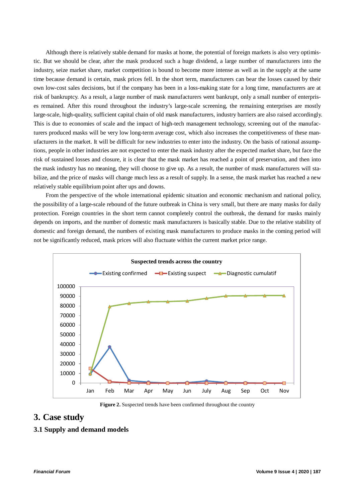Although there is relatively stable demand for masks at home, the potential of foreign markets is also very optimistic. But we should be clear, after the mask produced such a huge dividend, a large number of manufacturers into the industry, seize market share, market competition is bound to become more intense as well as in the supply at the same time because demand is certain, mask prices fell. In the short term, manufacturers can bear the losses caused by their own low-cost sales decisions, but if the company has been in a loss-making state for a long time, manufacturers are at risk of bankruptcy. As a result, a large number of mask manufacturers went bankrupt, only a small number of enterprises remained. After this round throughout the industry's large-scale screening, the remaining enterprises are mostly large-scale, high-quality, sufficient capital chain of old mask manufacturers, industry barriers are also raised accordingly. This is due to economies of scale and the impact of high-tech management technology, screening out of the manufacturers produced masks will be very low long-term average cost, which also increases the competitiveness of these manufacturers in the market. It will be difficult for new industries to enter into the industry. On the basis of rational assumptions, people in other industries are not expected to enter the mask industry after the expected market share, but face the risk of sustained losses and closure, it is clear that the mask market has reached a point of preservation, and then into the mask industry has no meaning, they will choose to give up. As a result, the number of mask manufacturers will stabilize, and the price of masks will change much less as a result of supply. In a sense, the mask market has reached a new relatively stable equilibrium point after ups and downs.

From the perspective of the whole international epidemic situation and economic mechanism and national policy, the possibility of a large-scale rebound of the future outbreak in China is very small, but there are many masks for daily protection. Foreign countries in the short term cannot completely control the outbreak, the demand for masks mainly depends on imports, and the number of domestic mask manufacturers is basically stable. Due to the relative stability of domestic and foreign demand, the numbers of existing mask manufacturers to produce masks in the coming period will not be significantly reduced, mask prices will also fluctuate within the current market price range.



**Figure 2.** Suspected trends have been confirmed throughout the country

### **3. Case study**

### **3.1 Supply and demand models**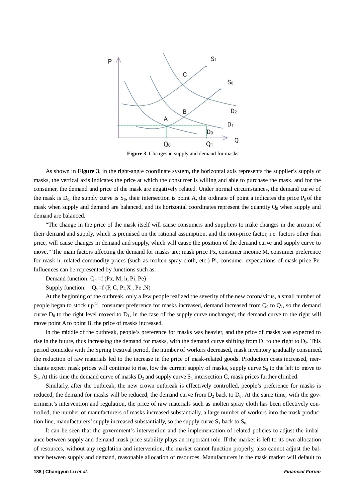

**Figure 3.** Changes in supply and demand for masks

As shown in **Figure 3**, in the right-angle coordinate system, the horizontal axis represents the supplier's supply of masks, the vertical axis indicates the price at which the consumer is willing and able to purchase the mask, and for the consumer, the demand and price of the mask are negatively related. Under normal circumstances, the demand curve of the mask is  $D_0$ , the supply curve is  $S_0$ , their intersection is point A, the ordinate of point a indicates the price  $P_0$  of the mask when supply and demand are balanced, and its horizontal coordinates represent the quantity  $Q_0$  when supply and demand are balanced.

"The change in the price of the mask itself will cause consumers and suppliers to make changes in the amount of their demand and supply, which is premised on the rational assumption, and the non-price factor, i.e. factors other than price, will cause changes in demand and supply, which will cause the position of the demand curve and supply curve to move." The main factors affecting the demand for masks are: mask price Px, consumer income M, consumer preference for mask h, related commodity prices (such as molten spray cloth, etc.) Pi, consumer expectations of mask price Pe. Influences can be represented by functions such as:

Demand function:  $Q_d = f(Px, M, h, Pi, Pe)$ 

Supply function:  $Q_s = f(P, C, Pr, X, Pe, N)$ 

At the beginning of the outbreak, only a few people realized the severity of the new coronavirus, a small number of people began to stock up<sup>[1]</sup>, consumer preference for masks increased, demand increased from  $Q_0$  to  $Q_1$ , so the demand curve  $D_0$  to the right level moved to  $D_1$ , in the case of the supply curve unchanged, the demand curve to the right will move point A to point B, the price of masks increased.

In the middle of the outbreak, people's preference for masks was heavier, and the price of masks was expected to rise in the future, thus increasing the demand for masks, with the demand curve shifting from  $D_1$  to the right to  $D_2$ . This period coincides with the Spring Festival period, the number of workers decreased, mask inventory gradually consumed, the reduction of raw materials led to the increase in the price of mask-related goods. Production costs increased, merchants expect mask prices will continue to rise, low the current supply of masks, supply curve  $S_0$  to the left to move to  $S_1$ . At this time the demand curve of masks  $D_2$  and supply curve  $S_1$  intersection C, mask prices further climbed.

Similarly, after the outbreak, the new crown outbreak is effectively controlled, people's preference for masks is reduced, the demand for masks will be reduced, the demand curve from  $D_2$  back to  $D_0$ . At the same time, with the government's intervention and regulation, the price of raw materials such as molten spray cloth has been effectively controlled, the number of manufacturers of masks increased substantially, a large number of workers into the mask production line, manufacturers' supply increased substantially, so the supply curve  $S_1$  back to  $S_0$ .

It can be seen that the government's intervention and the implementation of related policies to adjust the imbalance between supply and demand mask price stability plays an important role. If the market is left to its own allocation of resources, without any regulation and intervention, the market cannot function properly, also cannot adjust the balance between supply and demand, reasonable allocation of resources. Manufacturers in the mask market will default to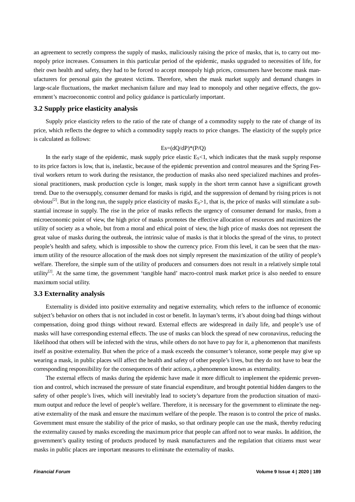an agreement to secretly compress the supply of masks, maliciously raising the price of masks, that is, to carry out monopoly price increases. Consumers in this particular period of the epidemic, masks upgraded to necessities of life, for their own health and safety, they had to be forced to accept monopoly high prices, consumers have become mask manufacturers for personal gain the greatest victims. Therefore, when the mask market supply and demand changes in large-scale fluctuations, the market mechanism failure and may lead to monopoly and other negative effects, the government's macroeconomic control and policy guidance is particularly important.

#### **3.2 Supply price elasticity analysis**

Supply price elasticity refers to the ratio of the rate of change of a commodity supply to the rate of change of its price, which reflects the degree to which a commodity supply reacts to price changes. The elasticity of the supply price is calculated as follows:

### $Es=(dQ/dP)*(P/Q)$

In the early stage of the epidemic, mask supply price elastic  $E_s$ <1, which indicates that the mask supply response to its price factors is low, that is, inelastic, because of the epidemic prevention and control measures and the Spring Festival workers return to work during the resistance, the production of masks also need specialized machines and professional practitioners, mask production cycle is longer, mask supply in the short term cannot have a significant growth trend. Due to the oversupply, consumer demand for masks is rigid, and the suppression of demand by rising prices is not obvious<sup>[2]</sup>. But in the long run, the supply price elasticity of masks  $E_s$ >1, that is, the price of masks will stimulate a substantial increase in supply. The rise in the price of masks reflects the urgency of consumer demand for masks, from a microeconomic point of view, the high price of masks promotes the effective allocation of resources and maximizes the utility of society as a whole, but from a moral and ethical point of view, the high price of masks does not represent the great value of masks during the outbreak, the intrinsic value of masks is that it blocks the spread of the virus, to protect people's health and safety, which is impossible to show the currency price. From this level, it can be seen that the maximum utility of the resource allocation of the mask does not simply represent the maximization of the utility of people's welfare. Therefore, the simple sum of the utility of producers and consumers does not result in a relatively simple total utility<sup>[2]</sup>. At the same time, the government 'tangible hand' macro-control mask market price is also needed to ensure maximum social utility.

#### **3.3 Externality analysis**

Externality is divided into positive externality and negative externality, which refers to the influence of economic subject's behavior on others that is not included in cost or benefit. In layman's terms, it's about doing bad things without compensation, doing good things without reward. External effects are widespread in daily life, and people's use of masks will have corresponding external effects. The use of masks can block the spread of new coronavirus, reducing the likelihood that others will be infected with the virus, while others do not have to pay for it, a phenomenon that manifests itself as positive externality. But when the price of a mask exceeds the consumer's tolerance, some people may give up wearing a mask, in public places will affect the health and safety of other people's lives, but they do not have to bear the corresponding responsibility for the consequences of their actions, a phenomenon known as externality.

The external effects of masks during the epidemic have made it more difficult to implement the epidemic prevention and control, which increased the pressure of state financial expenditure, and brought potential hidden dangers to the safety of other people's lives, which will inevitably lead to society's departure from the production situation of maximum output and reduce the level of people's welfare. Therefore, it is necessary for the government to eliminate the negative externality of the mask and ensure the maximum welfare of the people. The reason is to control the price of masks. Government must ensure the stability of the price of masks, so that ordinary people can use the mask, thereby reducing the externality caused by masks exceeding the maximum price that people can afford not to wear masks. In addition, the government's quality testing of products produced by mask manufacturers and the regulation that citizens must wear masks in public places are important measures to eliminate the externality of masks.